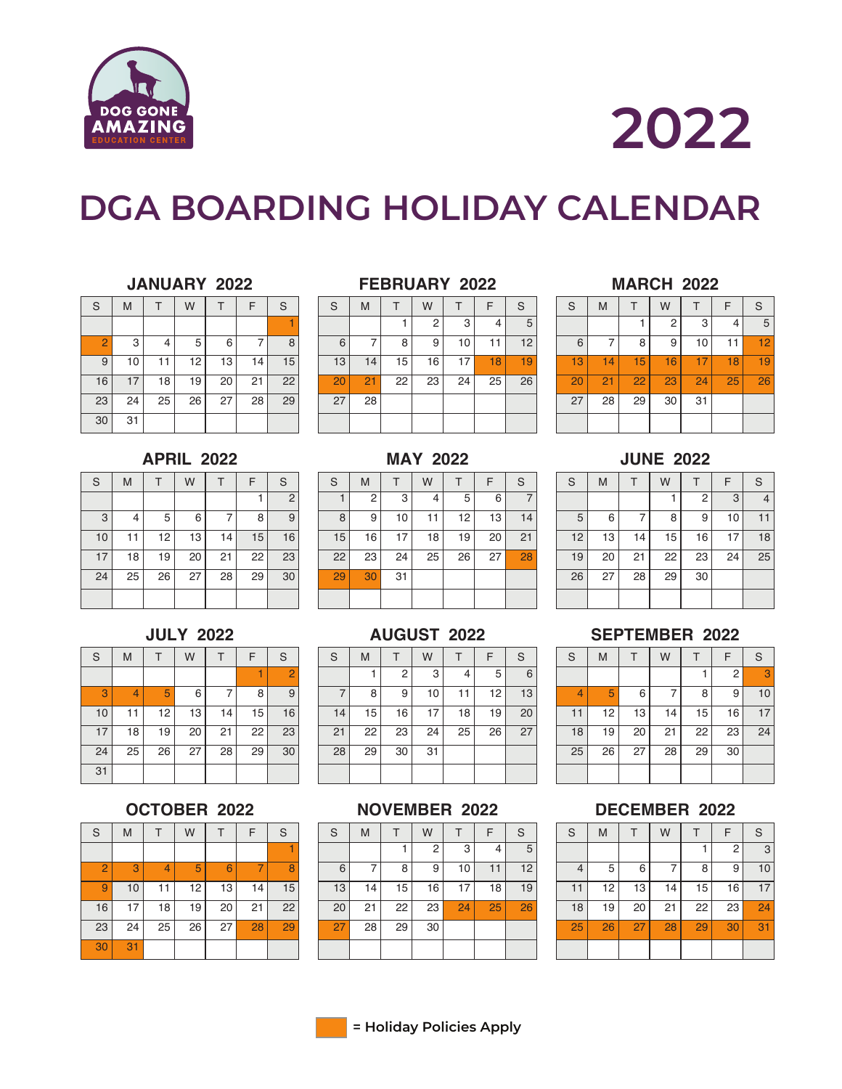

# **DGA BOARDING HOLIDAY CALENDAR**

## **JANUARY 2022**

| $\rm S$         | M  |    | W  |    | F  | S  |
|-----------------|----|----|----|----|----|----|
|                 |    |    |    |    |    |    |
| $\overline{2}$  | 3  | 4  | 5  | 6  |    | 8  |
| 9               | 10 | 11 | 12 | 13 | 14 | 15 |
| 16              | 17 | 18 | 19 | 20 | 21 | 22 |
| 23              | 24 | 25 | 26 | 27 | 28 | 29 |
| $\overline{30}$ | 31 |    |    |    |    |    |

### **FEBRUARY 2022**

| S  | M  |    | W  |    | F  | S  |
|----|----|----|----|----|----|----|
|    |    |    | 2  | 3  | 4  | 5  |
| 6  |    | 8  | 9  | 10 | 11 | 12 |
| 13 | 14 | 15 | 16 | 17 | 18 | 19 |
| 20 | 21 | 22 | 23 | 24 | 25 | 26 |
| 27 | 28 |    |    |    |    |    |
|    |    |    |    |    |    |    |

## **MAY 2022**

| $\mathbf S$ | M  |    | W  |    | F  | S  |
|-------------|----|----|----|----|----|----|
|             | 2  | 3  | 4  | 5  | 6  |    |
| 8           | 9  | 10 | 11 | 12 | 13 | 14 |
| 15          | 16 | 17 | 18 | 19 | 20 | 21 |
| 22          | 23 | 24 | 25 | 26 | 27 | 28 |
| 29          | 30 | 31 |    |    |    |    |
|             |    |    |    |    |    |    |

# **AUGUST 2022**

| S  | M  |    | W  |    | F  | S  |
|----|----|----|----|----|----|----|
|    |    | 2  | 3  | 4  | 5  | 6  |
| 7  | 8  | 9  | 10 | 11 | 12 | 13 |
| 14 | 15 | 16 | 17 | 18 | 19 | 20 |
| 21 | 22 | 23 | 24 | 25 | 26 | 27 |
| 28 | 29 | 30 | 31 |    |    |    |
|    |    |    |    |    |    |    |

## **NOVEMBER 2022**

| S  | M  |    | W  |    | F  | S  |
|----|----|----|----|----|----|----|
|    |    |    | 2  | 3  |    | 5  |
| 6  |    | 8  | 9  | 10 | 11 | 12 |
| 13 | 14 | 15 | 16 | 17 | 18 | 19 |
| 20 | 21 | 22 | 23 | 24 | 25 | 26 |
| 27 | 28 | 29 | 30 |    |    |    |
|    |    |    |    |    |    |    |

## **MARCH 2022**

| S  | M  |    | W  |    | F  | $\mathbf S$ |
|----|----|----|----|----|----|-------------|
|    |    |    | 2  | 3  | 4  | 5           |
| 6  |    | 8  | 9  | 10 | 11 | 12          |
| 13 | 14 | 15 | 16 | 17 | 18 | 19          |
| 20 | 21 | 22 | 23 | 24 | 25 | 26          |
| 27 | 28 | 29 | 30 | 31 |    |             |
|    |    |    |    |    |    |             |

## **JUNE 2022**

| S  | M  |    | W  |    | F  | S  |
|----|----|----|----|----|----|----|
|    |    |    |    | 2  | 3  |    |
| 5  | 6  |    | 8  | 9  | 10 | 11 |
| 12 | 13 | 14 | 15 | 16 | 17 | 18 |
| 19 | 20 | 21 | 22 | 23 | 24 | 25 |
| 26 | 27 | 28 | 29 | 30 |    |    |
|    |    |    |    |    |    |    |

## **SEPTEMBER 2022**

| $\mathbf S$ | M  |    | W  |    | F  | $\mathbf S$ |
|-------------|----|----|----|----|----|-------------|
|             |    |    |    |    | 2  | 3           |
| 4           | 5  | 6  |    | 8  | 9  | 10          |
| 11          | 12 | 13 | 14 | 15 | 16 | 17          |
| 18          | 19 | 20 | 21 | 22 | 23 | 24          |
| 25          | 26 | 27 | 28 | 29 | 30 |             |
|             |    |    |    |    |    |             |

# **DECEMBER 2022**

| S  | M  |    | W  |    | F  | S  |
|----|----|----|----|----|----|----|
|    |    |    |    |    | 2  | 3  |
| 4  | 5  | 6  |    | 8  | 9  | 10 |
| 11 | 12 | 13 | 14 | 15 | 16 | 17 |
| 18 | 19 | 20 | 21 | 22 | 23 | 24 |
| 25 | 26 | 27 | 28 | 29 | 30 | 31 |
|    |    |    |    |    |    |    |

# **APRIL 2022**

| $\mathbb S$ | M  |    | W  |    | F  | S  |
|-------------|----|----|----|----|----|----|
|             |    |    |    |    |    | 2  |
| 3           | 4  | 5  | 6  | 7  | 8  | 9  |
| 10          | 11 | 12 | 13 | 14 | 15 | 16 |
| 17          | 18 | 19 | 20 | 21 | 22 | 23 |
| 24          | 25 | 26 | 27 | 28 | 29 | 30 |
|             |    |    |    |    |    |    |

# **JULY 2022**

| S  | M  |    | W  |    | F  | S              |
|----|----|----|----|----|----|----------------|
|    |    |    |    |    |    | $\overline{2}$ |
| 3  | 4  | 5  | 6  |    | 8  | 9              |
| 10 | 11 | 12 | 13 | 14 | 15 | 16             |
| 17 | 18 | 19 | 20 | 21 | 22 | 23             |
| 24 | 25 | 26 | 27 | 28 | 29 | 30             |
| 31 |    |    |    |    |    |                |

# **OCTOBER 2022**

| S               | M  |    | W  |    | F  | S  |
|-----------------|----|----|----|----|----|----|
|                 |    |    |    |    |    |    |
| $\overline{2}$  | 3  | 4  | 5  | 6  |    | 8  |
| 9               | 10 | 11 | 12 | 13 | 14 | 15 |
| 16              | 17 | 18 | 19 | 20 | 21 | 22 |
| $\overline{23}$ | 24 | 25 | 26 | 27 | 28 | 29 |
| 30              | 31 |    |    |    |    |    |